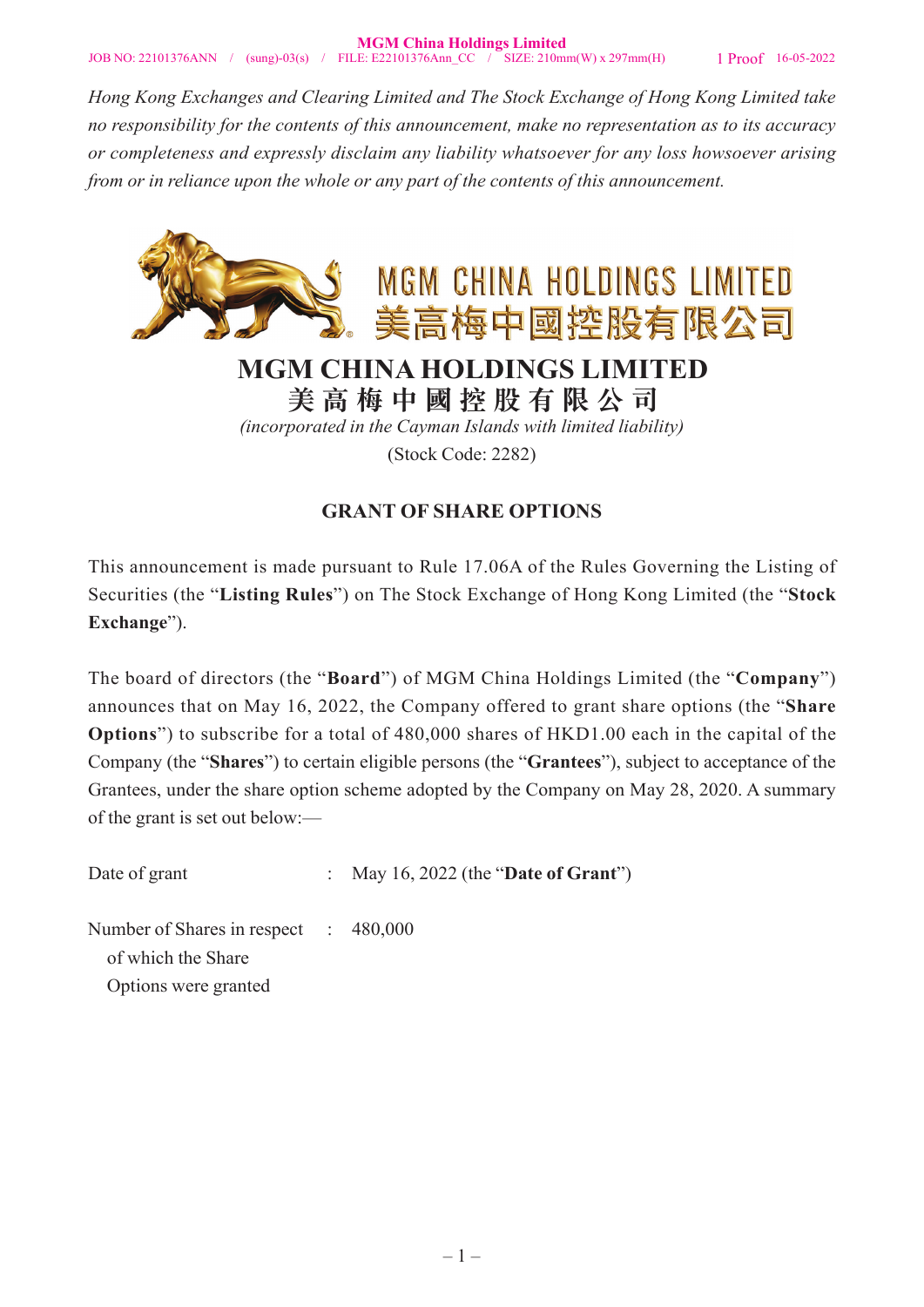*Hong Kong Exchanges and Clearing Limited and The Stock Exchange of Hong Kong Limited take no responsibility for the contents of this announcement, make no representation as to its accuracy or completeness and expressly disclaim any liability whatsoever for any loss howsoever arising from or in reliance upon the whole or any part of the contents of this announcement.*



**美高梅中國控股有限公司**

*(incorporated in the Cayman Islands with limited liability)* (Stock Code: 2282)

## **GRANT OF SHARE OPTIONS**

This announcement is made pursuant to Rule 17.06A of the Rules Governing the Listing of Securities (the "**Listing Rules**") on The Stock Exchange of Hong Kong Limited (the "**Stock Exchange**").

The board of directors (the "**Board**") of MGM China Holdings Limited (the "**Company**") announces that on May 16, 2022, the Company offered to grant share options (the "**Share Options**") to subscribe for a total of 480,000 shares of HKD1.00 each in the capital of the Company (the "**Shares**") to certain eligible persons (the "**Grantees**"), subject to acceptance of the Grantees, under the share option scheme adopted by the Company on May 28, 2020. A summary of the grant is set out below:—

Date of grant : May 16, 2022 (the "**Date of Grant**")

Number of Shares in respect : 480,000 of which the Share Options were granted